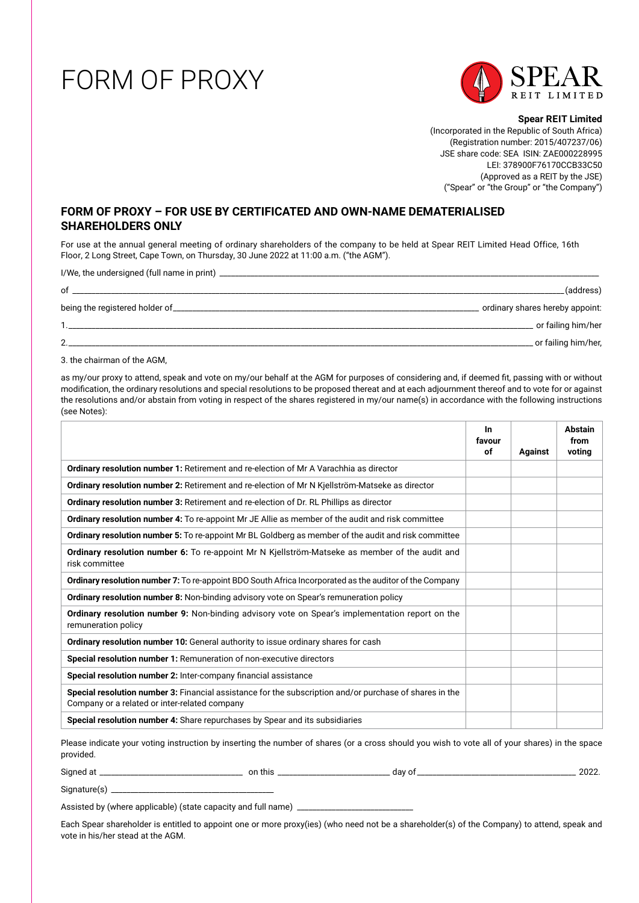## FORM OF PROXY



**Spear REIT Limited** (Incorporated in the Republic of South Africa) (Registration number: 2015/407237/06) JSE share code: SEA ISIN: ZAE000228995 LEI: 378900F76170CCB33C50 (Approved as a REIT by the JSE) ("Spear" or "the Group" or "the Company")

## **FORM OF PROXY – FOR USE BY CERTIFICATED AND OWN-NAME DEMATERIALISED SHAREHOLDERS ONLY**

For use at the annual general meeting of ordinary shareholders of the company to be held at Spear REIT Limited Head Office, 16th Floor, 2 Long Street, Cape Town, on Thursday, 30 June 2022 at 11:00 a.m. ("the AGM").

I/We, the undersigned (full name in print) \_\_\_\_\_\_\_\_\_\_\_\_\_\_\_\_\_\_\_\_\_\_\_\_\_\_\_\_\_\_\_\_\_\_\_\_\_\_\_\_\_\_\_\_\_\_\_\_\_\_\_\_\_\_\_\_\_\_\_\_\_\_\_\_\_\_\_\_\_\_\_\_\_\_\_\_\_\_\_\_\_\_\_\_\_\_\_\_\_\_\_\_\_\_\_\_\_\_

| οf                              | (address).                      |
|---------------------------------|---------------------------------|
| being the registered holder of_ | ordinary shares hereby appoint: |
|                                 | or failing him/her              |
|                                 | _ or failing him/her,           |

3. the chairman of the AGM,

as my/our proxy to attend, speak and vote on my/our behalf at the AGM for purposes of considering and, if deemed fit, passing with or without modification, the ordinary resolutions and special resolutions to be proposed thereat and at each adjournment thereof and to vote for or against the resolutions and/or abstain from voting in respect of the shares registered in my/our name(s) in accordance with the following instructions (see Notes):

|                                                                                                                                                          | In<br>favour<br>of | <b>Against</b> | Abstain<br>from<br>voting |
|----------------------------------------------------------------------------------------------------------------------------------------------------------|--------------------|----------------|---------------------------|
| Ordinary resolution number 1: Retirement and re-election of Mr A Varachhia as director                                                                   |                    |                |                           |
| Ordinary resolution number 2: Retirement and re-election of Mr N Kjellström-Matseke as director                                                          |                    |                |                           |
| Ordinary resolution number 3: Retirement and re-election of Dr. RL Phillips as director                                                                  |                    |                |                           |
| <b>Ordinary resolution number 4:</b> To re-appoint Mr JE Allie as member of the audit and risk committee                                                 |                    |                |                           |
| Ordinary resolution number 5: To re-appoint Mr BL Goldberg as member of the audit and risk committee                                                     |                    |                |                           |
| Ordinary resolution number 6: To re-appoint Mr N Kjellström-Matseke as member of the audit and<br>risk committee                                         |                    |                |                           |
| <b>Ordinary resolution number 7:</b> To re-appoint BDO South Africa Incorporated as the auditor of the Company                                           |                    |                |                           |
| <b>Ordinary resolution number 8:</b> Non-binding advisory vote on Spear's remuneration policy                                                            |                    |                |                           |
| <b>Ordinary resolution number 9:</b> Non-binding advisory vote on Spear's implementation report on the<br>remuneration policy                            |                    |                |                           |
| Ordinary resolution number 10: General authority to issue ordinary shares for cash                                                                       |                    |                |                           |
| Special resolution number 1: Remuneration of non-executive directors                                                                                     |                    |                |                           |
| Special resolution number 2: Inter-company financial assistance                                                                                          |                    |                |                           |
| Special resolution number 3: Financial assistance for the subscription and/or purchase of shares in the<br>Company or a related or inter-related company |                    |                |                           |
| Special resolution number 4: Share repurchases by Spear and its subsidiaries                                                                             |                    |                |                           |

Please indicate your voting instruction by inserting the number of shares (or a cross should you wish to vote all of your shares) in the space provided.

Signed at \_\_\_\_\_\_\_\_\_\_\_\_\_\_\_\_\_\_\_\_\_\_\_\_\_\_\_\_\_\_\_\_\_\_\_\_\_ on this \_\_\_\_\_\_\_\_\_\_\_\_\_\_\_\_\_\_\_\_\_\_\_\_\_\_\_\_\_ day of \_\_\_\_\_\_\_\_\_\_\_\_\_\_\_\_\_\_\_\_\_\_\_\_\_\_\_\_\_\_\_\_\_\_\_\_\_\_\_\_\_ 2022.

Signature(s) \_\_\_\_\_\_\_\_\_\_\_\_\_\_\_\_\_\_\_\_\_\_\_\_\_\_\_\_\_\_\_\_\_\_\_\_\_\_\_\_\_\_

Assisted by (where applicable) (state capacity and full name)

Each Spear shareholder is entitled to appoint one or more proxy(ies) (who need not be a shareholder(s) of the Company) to attend, speak and vote in his/her stead at the AGM.